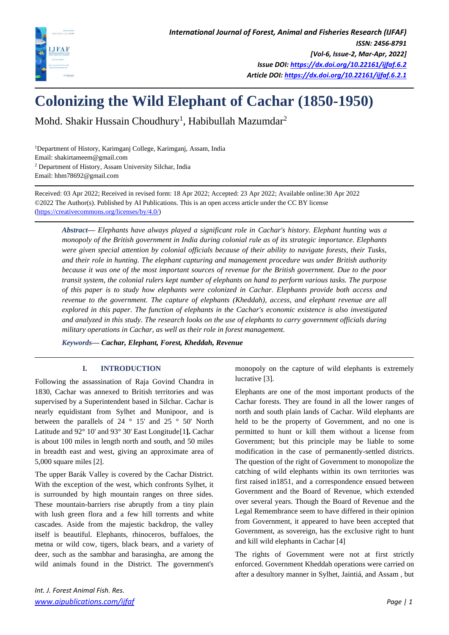

# **Colonizing the Wild Elephant of Cachar (1850-1950)**

Mohd. Shakir Hussain Choudhury<sup>1</sup>, Habibullah Mazumdar $^2$ 

<sup>1</sup>Department of History, Karimganj College, Karimganj, Assam, India Email: shakirtameem@gmail.com <sup>2</sup> Department of History, Assam University Silchar, India Email: hbm78692@gmail.com

Received: 03 Apr 2022; Received in revised form: 18 Apr 2022; Accepted: 23 Apr 2022; Available online:30 Apr 2022 ©2022 The Author(s). Published by AI Publications. This is an open access article under the CC BY license [\(https://creativecommons.org/licenses/by/4.0/\)](https://creativecommons.org/licenses/by/4.0/)

*Abstract— Elephants have always played a significant role in Cachar's history. Elephant hunting was a monopoly of the British government in India during colonial rule as of its strategic importance. Elephants were given special attention by colonial officials because of their ability to navigate forests, their Tusks, and their role in hunting. The elephant capturing and management procedure was under British authority because it was one of the most important sources of revenue for the British government. Due to the poor transit system, the colonial rulers kept number of elephants on hand to perform various tasks. The purpose of this paper is to study how elephants were colonized in Cachar. Elephants provide both access and revenue to the government. The capture of elephants (Kheddah), access, and elephant revenue are all explored in this paper. The function of elephants in the Cachar's economic existence is also investigated and analyzed in this study. The research looks on the use of elephants to carry government officials during military operations in Cachar, as well as their role in forest management.*

*Keywords***—** *Cachar, Elephant, Forest, Kheddah, Revenue*

## **I. INTRODUCTION**

 Following the assassination of Raja Govind Chandra in 1830, Cachar was annexed to British territories and was supervised by a Superintendent based in Silchar. Cachar is nearly equidistant from Sylhet and Munipoor, and is between the parallels of 24 ° 15' and 25 ° 50' North Latitude and 92° 10' and 93° 30' East Longitude[1**].** Cachar is about 100 miles in length north and south, and 50 miles in breadth east and west, giving an approximate area of 5,000 square miles [2].

 The upper Barák Valley is covered by the Cachar District. With the exception of the west, which confronts Sylhet, it is surrounded by high mountain ranges on three sides. These mountain-barriers rise abruptly from a tiny plain with lush green flora and a few hill torrents and white cascades. Aside from the majestic backdrop, the valley itself is beautiful. Elephants, rhinoceros, buffaloes, the metna or wild cow, tigers, black bears, and a variety of deer, such as the sambhar and barasingha, are among the wild animals found in the District. The government's

monopoly on the capture of wild elephants is extremely lucrative [3].

Elephants are one of the most important products of the Cachar forests. They are found in all the lower ranges of north and south plain lands of Cachar. Wild elephants are held to be the property of Government, and no one is permitted to hunt or kill them without a license from Government; but this principle may be liable to some modification in the case of permanently-settled districts. The question of the right of Government to monopolize the catching of wild elephants within its own territories was first raised in1851, and a correspondence ensued between Government and the Board of Revenue, which extended over several years. Though the Board of Revenue and the Legal Remembrance seem to have differed in their opinion from Government, it appeared to have been accepted that Government, as sovereign, has the exclusive right to hunt and kill wild elephants in Cachar [4]

The rights of Government were not at first strictly enforced. Government Kheddah operations were carried on after a desultory manner in Sylhet, Jaintiá, and Assam , but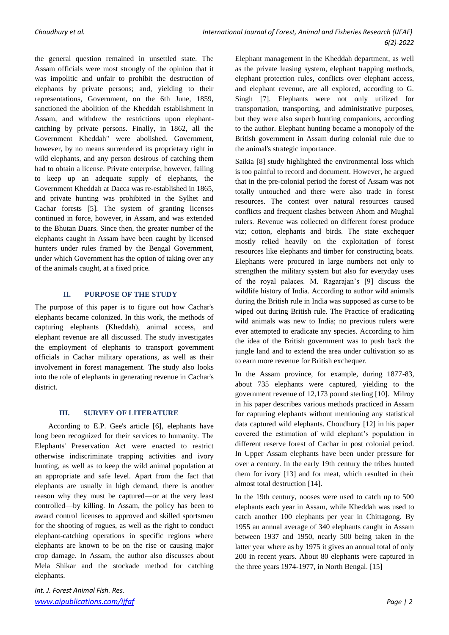the general question remained in unsettled state. The Assam officials were most strongly of the opinion that it was impolitic and unfair to prohibit the destruction of elephants by private persons; and, yielding to their representations, Government, on the 6th June, 1859, sanctioned the abolition of the Kheddah establishment in Assam, and withdrew the restrictions upon elephantcatching by private persons. Finally, in 1862, all the Government Kheddah" were abolished. Government, however, by no means surrendered its proprietary right in wild elephants, and any person desirous of catching them had to obtain a license. Private enterprise, however, failing to keep up an adequate supply of elephants, the Government Kheddah at Dacca was re-established in 1865, and private hunting was prohibited in the Sylhet and Cachar forests [5]. The system of granting licenses continued in force, however, in Assam, and was extended to the Bhutan Duars. Since then, the greater number of the elephants caught in Assam have been caught by licensed hunters under rules framed by the Bengal Government, under which Government has the option of taking over any of the animals caught, at a fixed price.

## **II. PURPOSE OF THE STUDY**

The purpose of this paper is to figure out how Cachar's elephants became colonized. In this work, the methods of capturing elephants (Kheddah), animal access, and elephant revenue are all discussed. The study investigates the employment of elephants to transport government officials in Cachar military operations, as well as their involvement in forest management*.* The study also looks into the role of elephants in generating revenue in Cachar's district.

## **III. SURVEY OF LITERATURE**

According to E.P. Gee's article [6], elephants have long been recognized for their services to humanity. The Elephants' Preservation Act were enacted to restrict otherwise indiscriminate trapping activities and ivory hunting, as well as to keep the wild animal population at an appropriate and safe level. Apart from the fact that elephants are usually in high demand, there is another reason why they must be captured—or at the very least controlled—by killing. In Assam, the policy has been to award control licenses to approved and skilled sportsmen for the shooting of rogues, as well as the right to conduct elephant-catching operations in specific regions where elephants are known to be on the rise or causing major crop damage. In Assam, the author also discusses about Mela Shikar and the stockade method for catching elephants.

*Int. J. Forest Animal Fish. Res. [www.aipublications.com/ijfaf](http://www.aipublications.com/ijfaf) Page | 2*

Elephant management in the Kheddah department, as well as the private leasing system, elephant trapping methods, elephant protection rules, conflicts over elephant access, and elephant revenue, are all explored, according to G. Singh [7]. Elephants were not only utilized for transportation, transporting, and administrative purposes, but they were also superb hunting companions, according to the author. Elephant hunting became a monopoly of the British government in Assam during colonial rule due to the animal's strategic importance.

Saikia [8] study highlighted the environmental loss which is too painful to record and document. However, he argued that in the pre-colonial period the forest of Assam was not totally untouched and there were also trade in forest resources. The contest over natural resources caused conflicts and frequent clashes between Ahom and Mughal rulers. Revenue was collected on different forest produce viz; cotton, elephants and birds. The state exchequer mostly relied heavily on the exploitation of forest resources like elephants and timber for constructing boats. Elephants were procured in large numbers not only to strengthen the military system but also for everyday uses of the royal palaces. M. Ragarajan's [9] discuss the wildlife history of India. According to author wild animals during the British rule in India was supposed as curse to be wiped out during British rule. The Practice of eradicating wild animals was new to India; no previous rulers were ever attempted to eradicate any species. According to him the idea of the British government was to push back the jungle land and to extend the area under cultivation so as to earn more revenue for British exchequer.

In the Assam province, for example, during 1877-83, about 735 elephants were captured, yielding to the government revenue of 12,173 pound sterling [10]. Milroy in his paper describes various methods practiced in Assam for capturing elephants without mentioning any statistical data captured wild elephants. Choudhury [12] in his paper covered the estimation of wild elephant's population in different reserve forest of Cachar in post colonial period. In Upper Assam elephants have been under pressure for over a century. In the early 19th century the tribes hunted them for ivory [13] and for meat, which resulted in their almost total destruction [14].

In the 19th century, nooses were used to catch up to 500 elephants each year in Assam, while Kheddah was used to catch another 100 elephants per year in Chittagong. By 1955 an annual average of 340 elephants caught in Assam between 1937 and 1950, nearly 500 being taken in the latter year where as by 1975 it gives an annual total of only 200 in recent years. About 80 elephants were captured in the three years 1974-1977, in North Bengal. [15]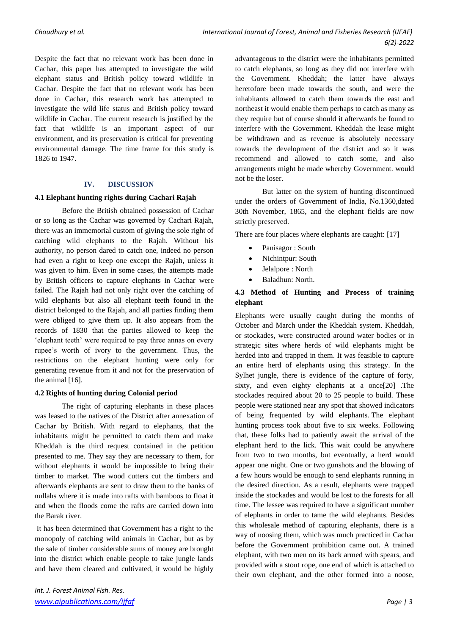Despite the fact that no relevant work has been done in Cachar, this paper has attempted to investigate the wild elephant status and British policy toward wildlife in Cachar. Despite the fact that no relevant work has been done in Cachar, this research work has attempted to investigate the wild life status and British policy toward wildlife in Cachar. The current research is justified by the fact that wildlife is an important aspect of our environment, and its preservation is critical for preventing environmental damage. The time frame for this study is 1826 to 1947.

## **IV. DISCUSSION**

#### **4.1 Elephant hunting rights during Cachari Rajah**

Before the British obtained possession of Cachar or so long as the Cachar was governed by Cachari Rajah, there was an immemorial custom of giving the sole right of catching wild elephants to the Rajah. Without his authority, no person dared to catch one, indeed no person had even a right to keep one except the Rajah, unless it was given to him. Even in some cases, the attempts made by British officers to capture elephants in Cachar were failed. The Rajah had not only right over the catching of wild elephants but also all elephant teeth found in the district belonged to the Rajah, and all parties finding them were obliged to give them up. It also appears from the records of 1830 that the parties allowed to keep the 'elephant teeth' were required to pay three annas on every rupee's worth of ivory to the government. Thus, the restrictions on the elephant hunting were only for generating revenue from it and not for the preservation of the animal [16].

## **4.2 Rights of hunting during Colonial period**

The right of capturing elephants in these places was leased to the natives of the District after annexation of Cachar by British. With regard to elephants, that the inhabitants might be permitted to catch them and make Kheddah is the third request contained in the petition presented to me. They say they are necessary to them, for without elephants it would be impossible to bring their timber to market. The wood cutters cut the timbers and afterwards elephants are sent to draw them to the banks of nullahs where it is made into rafts with bamboos to float it and when the floods come the rafts are carried down into the Barak river.

It has been determined that Government has a right to the monopoly of catching wild animals in Cachar, but as by the sale of timber considerable sums of money are brought into the district which enable people to take jungle lands and have them cleared and cultivated, it would be highly

advantageous to the district were the inhabitants permitted to catch elephants, so long as they did not interfere with the Government. Kheddah; the latter have always heretofore been made towards the south, and were the inhabitants allowed to catch them towards the east and northeast it would enable them perhaps to catch as many as they require but of course should it afterwards be found to interfere with the Government. Kheddah the lease might be withdrawn and as revenue is absolutely necessary towards the development of the district and so it was recommend and allowed to catch some, and also arrangements might be made whereby Government. would not be the loser.

But latter on the system of hunting discontinued under the orders of Government of India, No.1360,dated 30th November, 1865, and the elephant fields are now strictly preserved.

There are four places where elephants are caught: [17]

- Panisagor: South
- Nichintpur: South
- Jelalpore : North
- Baladhun: North.

## **4.3 Method of Hunting and Process of training elephant**

Elephants were usually caught during the months of October and March under the Kheddah system. Kheddah, or stockades, were constructed around water bodies or in strategic sites where herds of wild elephants might be herded into and trapped in them. It was feasible to capture an entire herd of elephants using this strategy. In the Sylhet jungle, there is evidence of the capture of forty, sixty, and even eighty elephants at a once[20] .The stockades required about 20 to 25 people to build. These people were stationed near any spot that showed indicators of being frequented by wild elephants. The elephant hunting process took about five to six weeks. Following that, these folks had to patiently await the arrival of the elephant herd to the lick. This wait could be anywhere from two to two months, but eventually, a herd would appear one night. One or two gunshots and the blowing of a few hours would be enough to send elephants running in the desired direction. As a result, elephants were trapped inside the stockades and would be lost to the forests for all time. The lessee was required to have a significant number of elephants in order to tame the wild elephants. Besides this wholesale method of capturing elephants, there is a way of noosing them, which was much practiced in Cachar before the Government prohibition came out. A trained elephant, with two men on its back armed with spears, and provided with a stout rope, one end of which is attached to their own elephant, and the other formed into a noose,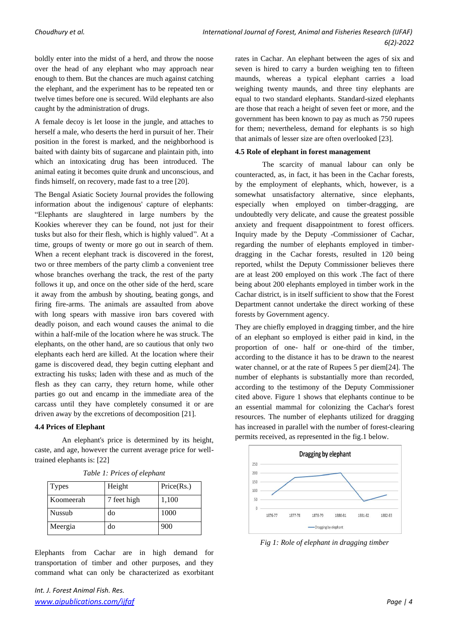boldly enter into the midst of a herd, and throw the noose over the head of any elephant who may approach near enough to them. But the chances are much against catching the elephant, and the experiment has to be repeated ten or twelve times before one is secured. Wild elephants are also caught by the administration of drugs.

A female decoy is let loose in the jungle, and attaches to herself a male, who deserts the herd in pursuit of her. Their position in the forest is marked, and the neighborhood is baited with dainty bits of sugarcane and plaintain pith, into which an intoxicating drug has been introduced. The animal eating it becomes quite drunk and unconscious, and finds himself, on recovery, made fast to a tree [20].

The Bengal Asiatic Society Journal provides the following information about the indigenous' capture of elephants: "Elephants are slaughtered in large numbers by the Kookies wherever they can be found, not just for their tusks but also for their flesh, which is highly valued". At a time, groups of twenty or more go out in search of them. When a recent elephant track is discovered in the forest, two or three members of the party climb a convenient tree whose branches overhang the track, the rest of the party follows it up, and once on the other side of the herd, scare it away from the ambush by shouting, beating gongs, and firing fire-arms. The animals are assaulted from above with long spears with massive iron bars covered with deadly poison, and each wound causes the animal to die within a half-mile of the location where he was struck. The elephants, on the other hand, are so cautious that only two elephants each herd are killed. At the location where their game is discovered dead, they begin cutting elephant and extracting his tusks; laden with these and as much of the flesh as they can carry, they return home, while other parties go out and encamp in the immediate area of the carcass until they have completely consumed it or are driven away by the excretions of decomposition [21].

#### **4.4 Prices of Elephant**

An elephant's price is determined by its height, caste, and age, however the current average price for welltrained elephants is: [22]

| <b>Types</b> | Height      | Price(Rs.) |
|--------------|-------------|------------|
| Koomeerah    | 7 feet high | 1,100      |
| Nussub       | do          | 1000       |
| Meergia      | do          | 900        |

*Table 1: Prices of elephant*

Elephants from Cachar are in high demand for transportation of timber and other purposes, and they command what can only be characterized as exorbitant rates in Cachar. An elephant between the ages of six and seven is hired to carry a burden weighing ten to fifteen maunds, whereas a typical elephant carries a load weighing twenty maunds, and three tiny elephants are equal to two standard elephants. Standard-sized elephants are those that reach a height of seven feet or more, and the government has been known to pay as much as 750 rupees for them; nevertheless, demand for elephants is so high that animals of lesser size are often overlooked [23].

#### **4.5 Role of elephant in forest management**

The scarcity of manual labour can only be counteracted, as, in fact, it has been in the Cachar forests, by the employment of elephants, which, however, is a somewhat unsatisfactory alternative, since elephants, especially when employed on timber-dragging, are undoubtedly very delicate, and cause the greatest possible anxiety and frequent disappointment to forest officers. Inquiry made by the Deputy -Commissioner of Cachar, regarding the number of elephants employed in timberdragging in the Cachar forests, resulted in 120 being reported, whilst the Deputy Commissioner believes there are at least 200 employed on this work .The fact of there being about 200 elephants employed in timber work in the Cachar district, is in itself sufficient to show that the Forest Department cannot undertake the direct working of these forests by Government agency.

They are chiefly employed in dragging timber, and the hire of an elephant so employed is either paid in kind, in the proportion of one- half or one-third of the timber, according to the distance it has to be drawn to the nearest water channel, or at the rate of Rupees 5 per diem[24]. The number of elephants is substantially more than recorded, according to the testimony of the Deputy Commissioner cited above. Figure 1 shows that elephants continue to be an essential mammal for colonizing the Cachar's forest resources. The number of elephants utilized for dragging has increased in parallel with the number of forest-clearing permits received, as represented in the fig.1 below.



*Fig 1: Role of elephant in dragging timber*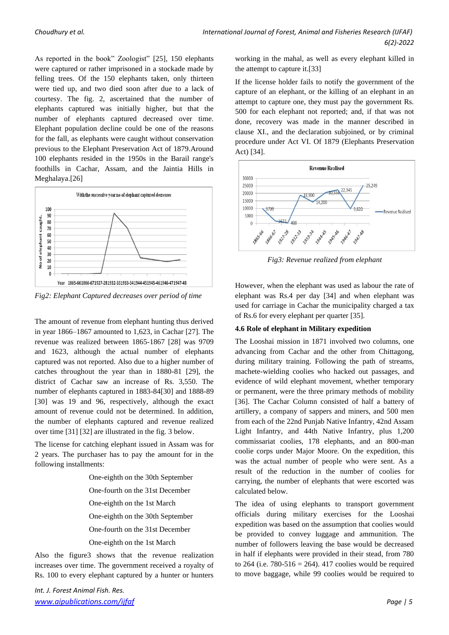As reported in the book" Zoologist" [25], 150 elephants were captured or rather imprisoned in a stockade made by felling trees. Of the 150 elephants taken, only thirteen were tied up, and two died soon after due to a lack of courtesy. The fig. 2, ascertained that the number of elephants captured was initially higher, but that the number of elephants captured decreased over time. Elephant population decline could be one of the reasons for the fall, as elephants were caught without conservation previous to the Elephant Preservation Act of 1879.Around 100 elephants resided in the 1950s in the Barail range's foothills in Cachar, Assam, and the Jaintia Hills in Meghalaya.[26]



*Fig2: Elephant Captured decreases over period of time*

The amount of revenue from elephant hunting thus derived in year 1866–1867 amounted to 1,623, in Cachar [27]. The revenue was realized between 1865-1867 [28] was 9709 and 1623, although the actual number of elephants captured was not reported. Also due to a higher number of catches throughout the year than in 1880-81 [29], the district of Cachar saw an increase of Rs. 3,550. The number of elephants captured in 1883-84[30] and 1888-89 [30] was 19 and 96, respectively, although the exact amount of revenue could not be determined. In addition, the number of elephants captured and revenue realized over time [31] [32] are illustrated in the fig. 3 below.

The license for catching elephant issued in Assam was for 2 years. The purchaser has to pay the amount for in the following installments:

> One-eighth on the 30th September One-fourth on the 31st December One-eighth on the 1st March One-eighth on the 30th September One-fourth on the 31st December One-eighth on the 1st March

Also the figure3 shows that the revenue realization increases over time. The government received a royalty of Rs. 100 to every elephant captured by a hunter or hunters

*Int. J. Forest Animal Fish. Res. [www.aipublications.com/ijfaf](http://www.aipublications.com/ijfaf) Page | 5*

working in the mahal, as well as every elephant killed in the attempt to capture it.[33]

If the license holder fails to notify the government of the capture of an elephant, or the killing of an elephant in an attempt to capture one, they must pay the government Rs. 500 for each elephant not reported; and, if that was not done, recovery was made in the manner described in clause XI., and the declaration subjoined, or by criminal procedure under Act VI. Of 1879 (Elephants Preservation Act) [34].



*Fig3: Revenue realized from elephant*

However, when the elephant was used as labour the rate of elephant was Rs.4 per day [34] and when elephant was used for carriage in Cachar the municipality charged a tax of Rs.6 for every elephant per quarter [35].

## **4.6 Role of elephant in Military expedition**

The Looshai mission in 1871 involved two columns, one advancing from Cachar and the other from Chittagong, during military training. Following the path of streams, machete-wielding coolies who hacked out passages, and evidence of wild elephant movement, whether temporary or permanent, were the three primary methods of mobility [36]. The Cachar Column consisted of half a battery of artillery, a company of sappers and miners, and 500 men from each of the 22nd Punjab Native Infantry, 42nd Assam Light Infantry, and 44th Native Infantry, plus 1,200 commissariat coolies, 178 elephants, and an 800-man coolie corps under Major Moore. On the expedition, this was the actual number of people who were sent. As a result of the reduction in the number of coolies for carrying, the number of elephants that were escorted was calculated below.

The idea of using elephants to transport government officials during military exercises for the Looshai expedition was based on the assumption that coolies would be provided to convey luggage and ammunition. The number of followers leaving the base would be decreased in half if elephants were provided in their stead, from 780 to 264 (i.e.  $780 - 516 = 264$ ). 417 coolies would be required to move baggage, while 99 coolies would be required to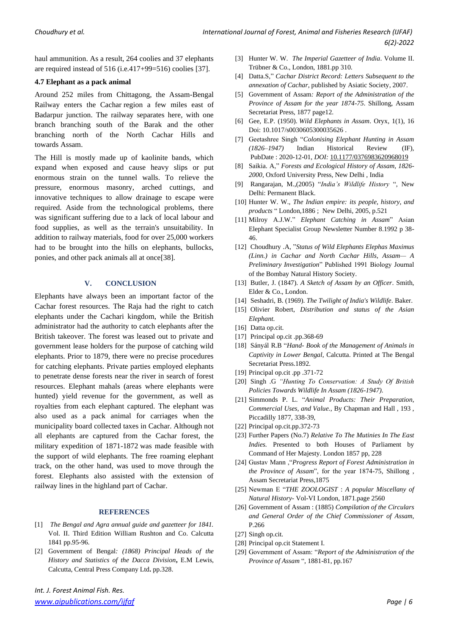haul ammunition. As a result, 264 coolies and 37 elephants are required instead of 516 (i.e.417+99=516) coolies [37].

#### **4.7 Elephant as a pack animal**

Around 252 miles from Chittagong, the Assam-Bengal Railway enters the Cachar region a few miles east of Badarpur junction. The railway separates here, with one branch branching south of the Barak and the other branching north of the North Cachar Hills and towards Assam.

The Hill is mostly made up of kaolinite bands, which expand when exposed and cause heavy slips or put enormous strain on the tunnel walls. To relieve the pressure, enormous masonry, arched cuttings, and innovative techniques to allow drainage to escape were required. Aside from the technological problems, there was significant suffering due to a lack of local labour and food supplies, as well as the terrain's unsuitability. In addition to railway materials, food for over 25,000 workers had to be brought into the hills on elephants, bullocks, ponies, and other pack animals all at once[38].

#### **V. CONCLUSION**

Elephants have always been an important factor of the Cachar forest resources. The Raja had the right to catch elephants under the Cachari kingdom, while the British administrator had the authority to catch elephants after the British takeover. The forest was leased out to private and government lease holders for the purpose of catching wild elephants. Prior to 1879, there were no precise procedures for catching elephants. Private parties employed elephants to penetrate dense forests near the river in search of forest resources. Elephant mahals (areas where elephants were hunted) yield revenue for the government, as well as royalties from each elephant captured. The elephant was also used as a pack animal for carriages when the municipality board collected taxes in Cachar. Although not all elephants are captured from the Cachar forest, the military expedition of 1871-1872 was made feasible with the support of wild elephants. The free roaming elephant track, on the other hand, was used to move through the forest. Elephants also assisted with the extension of railway lines in the highland part of Cachar.

#### **REFERENCES**

- [1] *The Bengal and Agra annual guide and gazetteer for 1841.* Vol. II. Third Edition William Rushton and Co. Calcutta 1841 pp.95-96.
- [2] Government of Bengal*: (1868) Principal Heads of the History and Statistics of the Dacca Division***,** E.M Lewis, Calcutta, Central Press Company Ltd**.** pp.328.
- [3] Hunter W. W. *The Imperial Gazetteer of India*. Volume II. Trübner & Co., London, 1881.pp 310.
- [4] Datta.S," *Cachar District Record: Letters Subsequent to the annexation of Cachar*, published by Asiatic Society, 2007.
- [5] Government of Assam*: Report of the Administration of the Province of Assam for the year 1874-75*. Shillong, Assam Secretariat Press, 1877 page12.
- [6] Gee, E.P. (1950). *Wild Elephants in Assam*. Oryx, 1(1), 16 Doi: 10.1017/s0030605300035626 .
- [7] Geetashree Singh "*Colonising Elephant Hunting in Assam (1826–1947)* Indian Historical Review (IF), PubDate : 2020-12-01*, DOI:* [10.1177/0376983620968019](http://doi.org/10.1177/0376983620968019)
- [8] Saikia. A," *Forests and Ecological History of Assam, 1826- 2000*, Oxford University Press, New Delhi , India
- [9] Rangarajan, M.,(2005) "*India's Wildlife History* ", New Delhi: Permanent Black.
- [10] Hunter W. W., *The Indian empire: its people, history, and products* " London,1886 ; New Delhi, 2005, p.521
- [11] Milroy A.J.W." *Elephant Catching in Assam*" Asian Elephant Specialist Group Newsletter Number 8.1992 p 38- 46.
- [12] Choudhury .A, "*Status of Wild Elephants Elephas Maximus (Linn.) in Cachar and North Cachar Hills, Assam— A Preliminary Investigation*" Published 1991 Biology Journal of the Bombay Natural History Society.
- [13] Butler, J. (1847). *A Sketch of Assam by an Officer*. Smith, Elder & Co., London.
- [14] Seshadri, B. (1969). *The Twilight of India's Wildlife*. Baker.
- [15] Olivier Robert, *Distribution and status of the Asian Elephant.*
- [16] Datta op.cit.
- [17] Principal op.cit .pp.368-69
- [18] Sányál R.B "*Hand- Book of the Management of Animals in Captivity in Lower Bengal*, Calcutta. Printed at The Bengal Secretariat Press.1892.
- [19] Principal op.cit .pp .371-72
- [20] Singh .G *"Hunting To Conservation: A Study Of British Policies Towards Wildlife In Assam (1826-1947).*
- [21] Simmonds P. L. "*Animal Products: Their Preparation, Commercial Uses, and Value.,* By Chapman and Hall , 193 , Piccadilly 1877, 338-39,
- [22] Principal op.cit.pp.372-73
- [23] Further Papers (No.7) *Relative To The Mutinies In The East Indies.* Presented to both Houses of Parliament by Command of Her Majesty. London 1857 pp, 228
- [24] Gustav Mann ,"*Progress Report of Forest Administration in the Province of Assam*", for the year 1874-75, Shillong , Assam Secretariat Press,1875
- [25] Newman E "*THE ZOOLOGIST* : *A popular Miscellany of Natural History-* Vol-VI London, 1871.page 2560
- [26] Government of Assam : (1885) *Compilation of the Circulars and General Order of the Chief Commissioner of Assam*, P.266
- [27] Singh op.cit.
- [28] Principal op.cit Statement I.
- [29] Government of Assam: "*Report of the Administration of the Province of Assam* ", 1881-81, pp.167